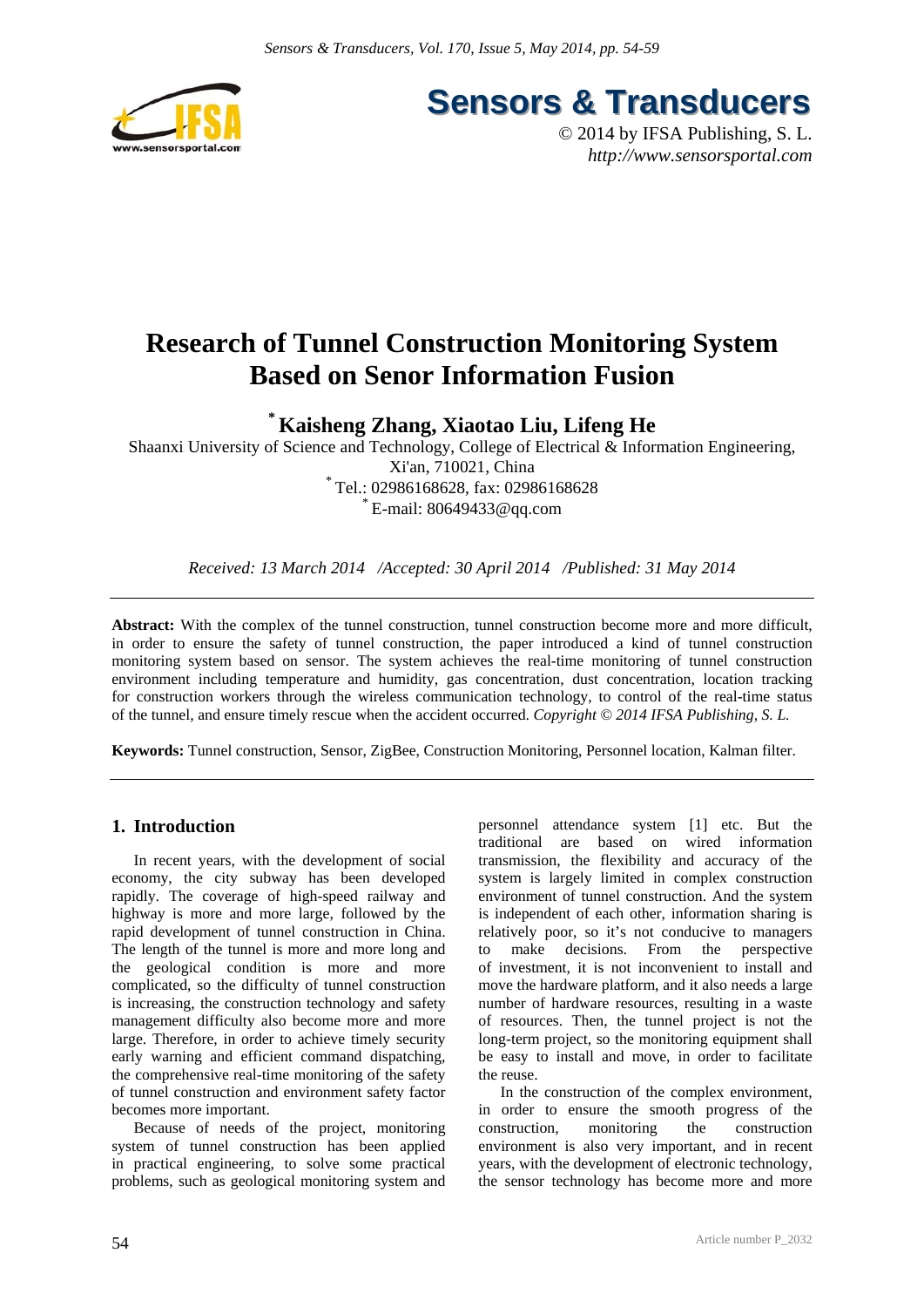

**Sensors & Transducers** 

© 2014 by IFSA Publishing, S. L. *http://www.sensorsportal.com*

## **Research of Tunnel Construction Monitoring System Based on Senor Information Fusion**

**\* Kaisheng Zhang, Xiaotao Liu, Lifeng He** 

Shaanxi University of Science and Technology, College of Electrical & Information Engineering, Xi'an, 710021, China \* Tel.: 02986168628, fax: 02986168628  $E$ -mail: 80649433@qq.com

*Received: 13 March 2014 /Accepted: 30 April 2014 /Published: 31 May 2014*

**Abstract:** With the complex of the tunnel construction, tunnel construction become more and more difficult, in order to ensure the safety of tunnel construction, the paper introduced a kind of tunnel construction monitoring system based on sensor. The system achieves the real-time monitoring of tunnel construction environment including temperature and humidity, gas concentration, dust concentration, location tracking for construction workers through the wireless communication technology, to control of the real-time status of the tunnel, and ensure timely rescue when the accident occurred. *Copyright © 2014 IFSA Publishing, S. L.*

**Keywords:** Tunnel construction, Sensor, ZigBee, Construction Monitoring, Personnel location, Kalman filter.

## **1. Introduction**

In recent years, with the development of social economy, the city subway has been developed rapidly. The coverage of high-speed railway and highway is more and more large, followed by the rapid development of tunnel construction in China. The length of the tunnel is more and more long and the geological condition is more and more complicated, so the difficulty of tunnel construction is increasing, the construction technology and safety management difficulty also become more and more large. Therefore, in order to achieve timely security early warning and efficient command dispatching, the comprehensive real-time monitoring of the safety of tunnel construction and environment safety factor becomes more important.

Because of needs of the project, monitoring system of tunnel construction has been applied in practical engineering, to solve some practical problems, such as geological monitoring system and personnel attendance system [1] etc. But the traditional are based on wired information transmission, the flexibility and accuracy of the system is largely limited in complex construction environment of tunnel construction. And the system is independent of each other, information sharing is relatively poor, so it's not conducive to managers to make decisions. From the perspective of investment, it is not inconvenient to install and move the hardware platform, and it also needs a large number of hardware resources, resulting in a waste of resources. Then, the tunnel project is not the long-term project, so the monitoring equipment shall be easy to install and move, in order to facilitate the reuse.

In the construction of the complex environment, in order to ensure the smooth progress of the construction, monitoring the construction environment is also very important, and in recent years, with the development of electronic technology, the sensor technology has become more and more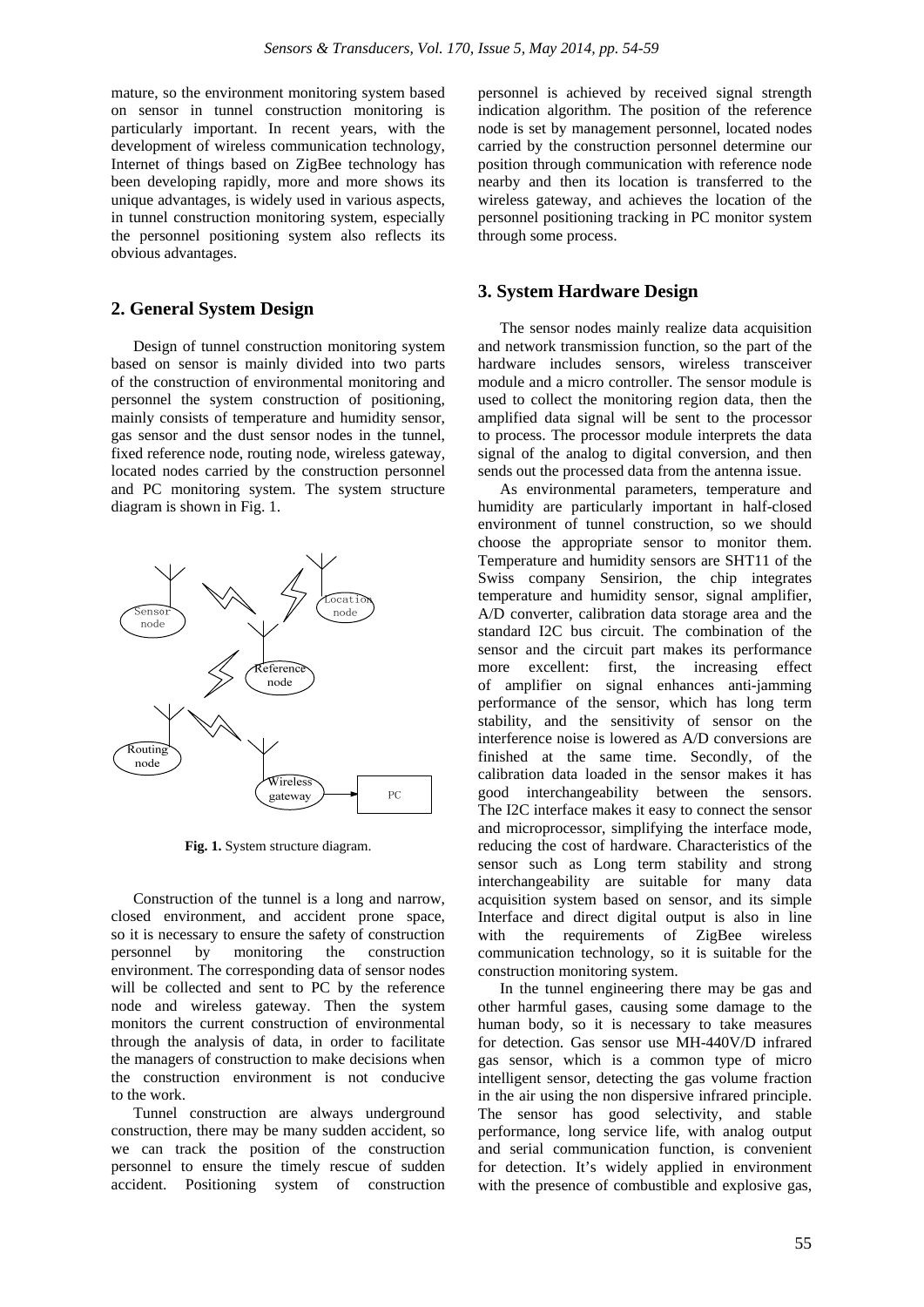mature, so the environment monitoring system based on sensor in tunnel construction monitoring is particularly important. In recent years, with the development of wireless communication technology, Internet of things based on ZigBee technology has been developing rapidly, more and more shows its unique advantages, is widely used in various aspects, in tunnel construction monitoring system, especially the personnel positioning system also reflects its obvious advantages.

#### **2. General System Design**

Design of tunnel construction monitoring system based on sensor is mainly divided into two parts of the construction of environmental monitoring and personnel the system construction of positioning, mainly consists of temperature and humidity sensor, gas sensor and the dust sensor nodes in the tunnel, fixed reference node, routing node, wireless gateway, located nodes carried by the construction personnel and PC monitoring system. The system structure diagram is shown in Fig. 1.



**Fig. 1.** System structure diagram.

Construction of the tunnel is a long and narrow, closed environment, and accident prone space, so it is necessary to ensure the safety of construction personnel by monitoring the construction environment. The corresponding data of sensor nodes will be collected and sent to PC by the reference node and wireless gateway. Then the system monitors the current construction of environmental through the analysis of data, in order to facilitate the managers of construction to make decisions when the construction environment is not conducive to the work.

Tunnel construction are always underground construction, there may be many sudden accident, so we can track the position of the construction personnel to ensure the timely rescue of sudden accident. Positioning system of construction personnel is achieved by received signal strength indication algorithm. The position of the reference node is set by management personnel, located nodes carried by the construction personnel determine our position through communication with reference node nearby and then its location is transferred to the wireless gateway, and achieves the location of the personnel positioning tracking in PC monitor system through some process.

#### **3. System Hardware Design**

The sensor nodes mainly realize data acquisition and network transmission function, so the part of the hardware includes sensors, wireless transceiver module and a micro controller. The sensor module is used to collect the monitoring region data, then the amplified data signal will be sent to the processor to process. The processor module interprets the data signal of the analog to digital conversion, and then sends out the processed data from the antenna issue.

As environmental parameters, temperature and humidity are particularly important in half-closed environment of tunnel construction, so we should choose the appropriate sensor to monitor them. Temperature and humidity sensors are SHT11 of the Swiss company Sensirion, the chip integrates temperature and humidity sensor, signal amplifier, A/D converter, calibration data storage area and the standard I2C bus circuit. The combination of the sensor and the circuit part makes its performance more excellent: first, the increasing effect of amplifier on signal enhances anti-jamming performance of the sensor, which has long term stability, and the sensitivity of sensor on the interference noise is lowered as A/D conversions are finished at the same time. Secondly, of the calibration data loaded in the sensor makes it has good interchangeability between the sensors. The I2C interface makes it easy to connect the sensor and microprocessor, simplifying the interface mode, reducing the cost of hardware. Characteristics of the sensor such as Long term stability and strong interchangeability are suitable for many data acquisition system based on sensor, and its simple Interface and direct digital output is also in line with the requirements of ZigBee wireless communication technology, so it is suitable for the construction monitoring system.

In the tunnel engineering there may be gas and other harmful gases, causing some damage to the human body, so it is necessary to take measures for detection. Gas sensor use MH-440V/D infrared gas sensor, which is a common type of micro intelligent sensor, detecting the gas volume fraction in the air using the non dispersive infrared principle. The sensor has good selectivity, and stable performance, long service life, with analog output and serial communication function, is convenient for detection. It's widely applied in environment with the presence of combustible and explosive gas,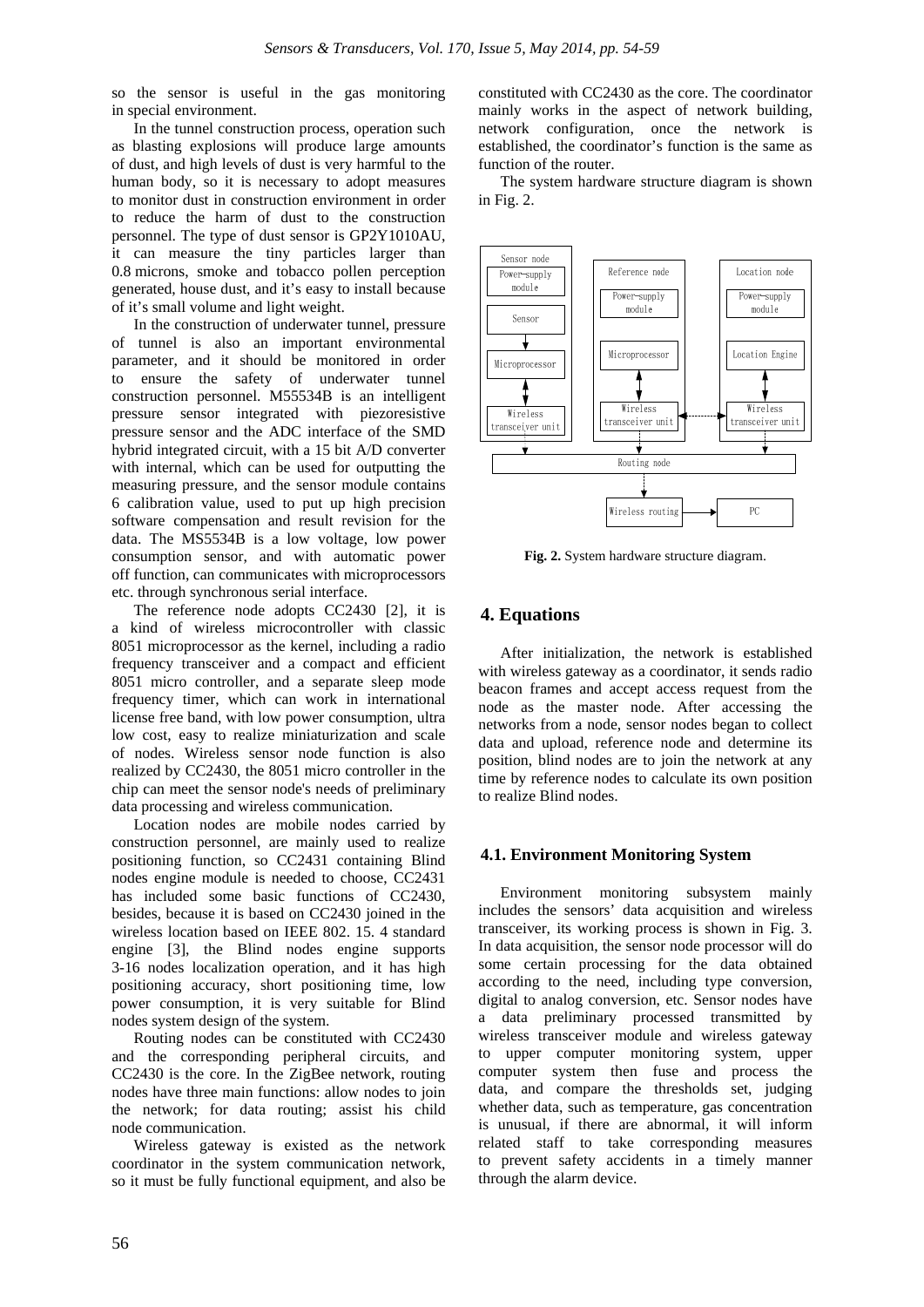so the sensor is useful in the gas monitoring in special environment.

In the tunnel construction process, operation such as blasting explosions will produce large amounts of dust, and high levels of dust is very harmful to the human body, so it is necessary to adopt measures to monitor dust in construction environment in order to reduce the harm of dust to the construction personnel. The type of dust sensor is GP2Y1010AU, it can measure the tiny particles larger than 0.8 microns, smoke and tobacco pollen perception generated, house dust, and it's easy to install because of it's small volume and light weight.

In the construction of underwater tunnel, pressure of tunnel is also an important environmental parameter, and it should be monitored in order to ensure the safety of underwater tunnel construction personnel. M55534B is an intelligent pressure sensor integrated with piezoresistive pressure sensor and the ADC interface of the SMD hybrid integrated circuit, with a 15 bit A/D converter with internal, which can be used for outputting the measuring pressure, and the sensor module contains 6 calibration value, used to put up high precision software compensation and result revision for the data. The MS5534B is a low voltage, low power consumption sensor, and with automatic power off function, can communicates with microprocessors etc. through synchronous serial interface.

The reference node adopts CC2430 [2], it is a kind of wireless microcontroller with classic 8051 microprocessor as the kernel, including a radio frequency transceiver and a compact and efficient 8051 micro controller, and a separate sleep mode frequency timer, which can work in international license free band, with low power consumption, ultra low cost, easy to realize miniaturization and scale of nodes. Wireless sensor node function is also realized by CC2430, the 8051 micro controller in the chip can meet the sensor node's needs of preliminary data processing and wireless communication.

Location nodes are mobile nodes carried by construction personnel, are mainly used to realize positioning function, so CC2431 containing Blind nodes engine module is needed to choose, CC2431 has included some basic functions of CC2430, besides, because it is based on CC2430 joined in the wireless location based on IEEE 802. 15. 4 standard engine [3], the Blind nodes engine supports 3-16 nodes localization operation, and it has high positioning accuracy, short positioning time, low power consumption, it is very suitable for Blind nodes system design of the system.

Routing nodes can be constituted with CC2430 and the corresponding peripheral circuits, and CC2430 is the core. In the ZigBee network, routing nodes have three main functions: allow nodes to join the network; for data routing; assist his child node communication.

Wireless gateway is existed as the network coordinator in the system communication network, so it must be fully functional equipment, and also be

constituted with CC2430 as the core. The coordinator mainly works in the aspect of network building, network configuration, once the network is established, the coordinator's function is the same as function of the router

The system hardware structure diagram is shown in Fig. 2.



**Fig. 2.** System hardware structure diagram.

## **4. Equations**

After initialization, the network is established with wireless gateway as a coordinator, it sends radio beacon frames and accept access request from the node as the master node. After accessing the networks from a node, sensor nodes began to collect data and upload, reference node and determine its position, blind nodes are to join the network at any time by reference nodes to calculate its own position to realize Blind nodes.

#### **4.1. Environment Monitoring System**

Environment monitoring subsystem mainly includes the sensors' data acquisition and wireless transceiver, its working process is shown in Fig. 3. In data acquisition, the sensor node processor will do some certain processing for the data obtained according to the need, including type conversion, digital to analog conversion, etc. Sensor nodes have a data preliminary processed transmitted by wireless transceiver module and wireless gateway to upper computer monitoring system, upper computer system then fuse and process the data, and compare the thresholds set, judging whether data, such as temperature, gas concentration is unusual, if there are abnormal, it will inform related staff to take corresponding measures to prevent safety accidents in a timely manner through the alarm device.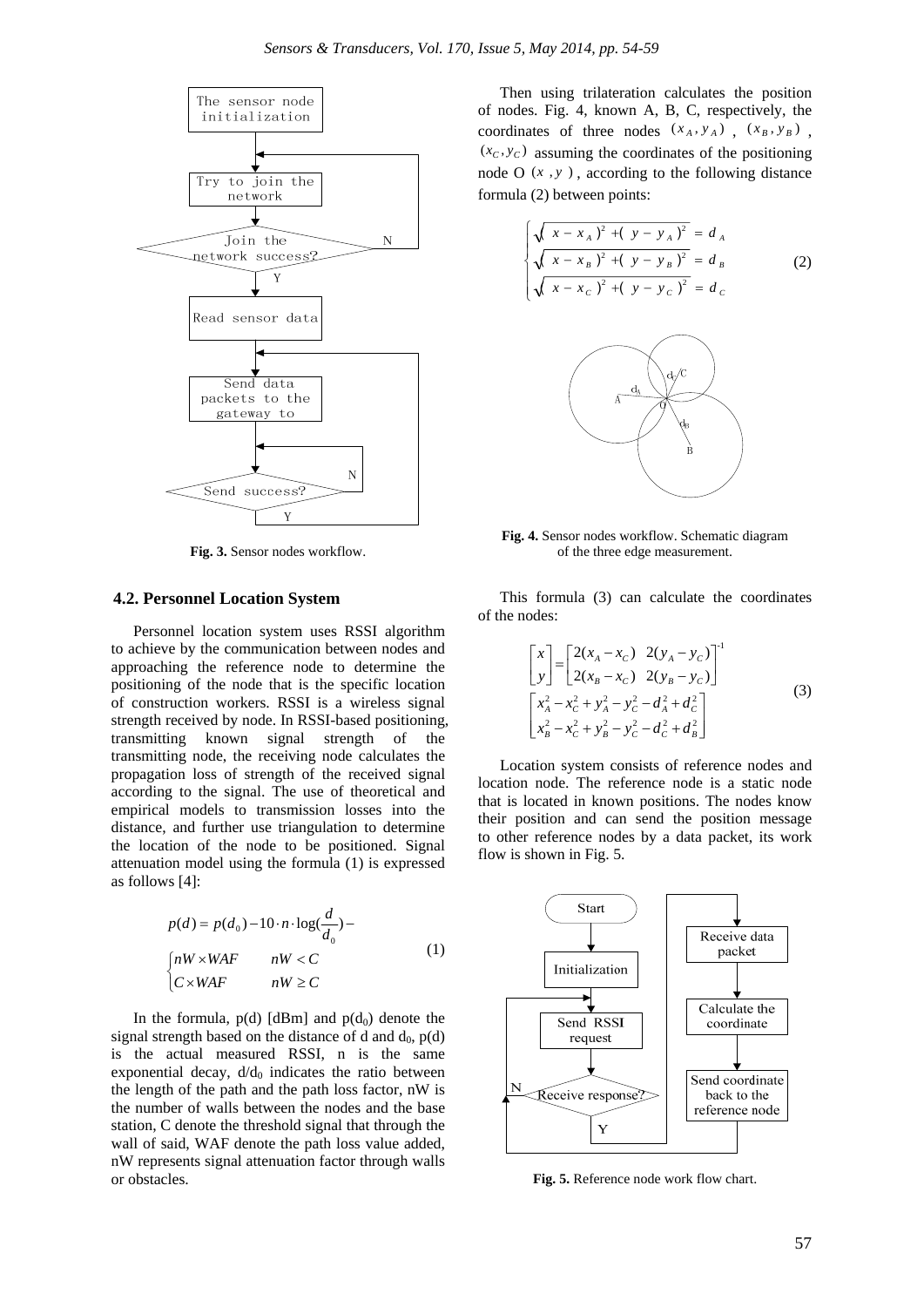

**Fig. 3.** Sensor nodes workflow.

#### **4.2. Personnel Location System**

Personnel location system uses RSSI algorithm to achieve by the communication between nodes and approaching the reference node to determine the positioning of the node that is the specific location of construction workers. RSSI is a wireless signal strength received by node. In RSSI-based positioning, transmitting known signal strength of the transmitting node, the receiving node calculates the propagation loss of strength of the received signal according to the signal. The use of theoretical and empirical models to transmission losses into the distance, and further use triangulation to determine the location of the node to be positioned. Signal attenuation model using the formula (1) is expressed as follows [4]:

$$
p(d) = p(d_0) - 10 \cdot n \cdot \log(\frac{d}{d_0}) -
$$
  
\n
$$
\begin{cases} nW \times WAF & nW < C \\ C \times WAF & nW \ge C \end{cases}
$$
 (1)

In the formula,  $p(d)$  [dBm] and  $p(d_0)$  denote the signal strength based on the distance of d and  $d_0$ ,  $p(d)$ is the actual measured RSSI, n is the same exponential decay,  $d/d_0$  indicates the ratio between the length of the path and the path loss factor, nW is the number of walls between the nodes and the base station, C denote the threshold signal that through the wall of said, WAF denote the path loss value added, nW represents signal attenuation factor through walls or obstacles.

Then using trilateration calculates the position of nodes. Fig. 4, known A, B, C, respectively, the coordinates of three nodes  $(x_A, y_A)$ ,  $(x_B, y_B)$ ,  $(x_c, y_c)$  assuming the coordinates of the positioning node O  $(x, y)$ , according to the following distance formula (2) between points:

$$
\begin{cases} \sqrt{x - x_A^2 + (y - y_A)^2} = d_A \\ \sqrt{x - x_B^2 + (y - y_B)^2} = d_B \\ \sqrt{x - x_C^2 + (y - y_C)^2} = d_C \end{cases}
$$
 (2)



**Fig. 4.** Sensor nodes workflow. Schematic diagram of the three edge measurement.

This formula (3) can calculate the coordinates of the nodes:

$$
\begin{bmatrix} x \\ y \end{bmatrix} = \begin{bmatrix} 2(x_A - x_C) & 2(y_A - y_C) \\ 2(x_B - x_C) & 2(y_B - y_C) \end{bmatrix}^T
$$
  
\n
$$
\begin{bmatrix} x_A^2 - x_C^2 + y_A^2 - y_C^2 - d_A^2 + d_C^2 \\ x_B^2 - x_C^2 + y_B^2 - y_C^2 - d_C^2 + d_B^2 \end{bmatrix}
$$
 (3)

Location system consists of reference nodes and location node. The reference node is a static node that is located in known positions. The nodes know their position and can send the position message to other reference nodes by a data packet, its work flow is shown in Fig. 5.



**Fig. 5.** Reference node work flow chart.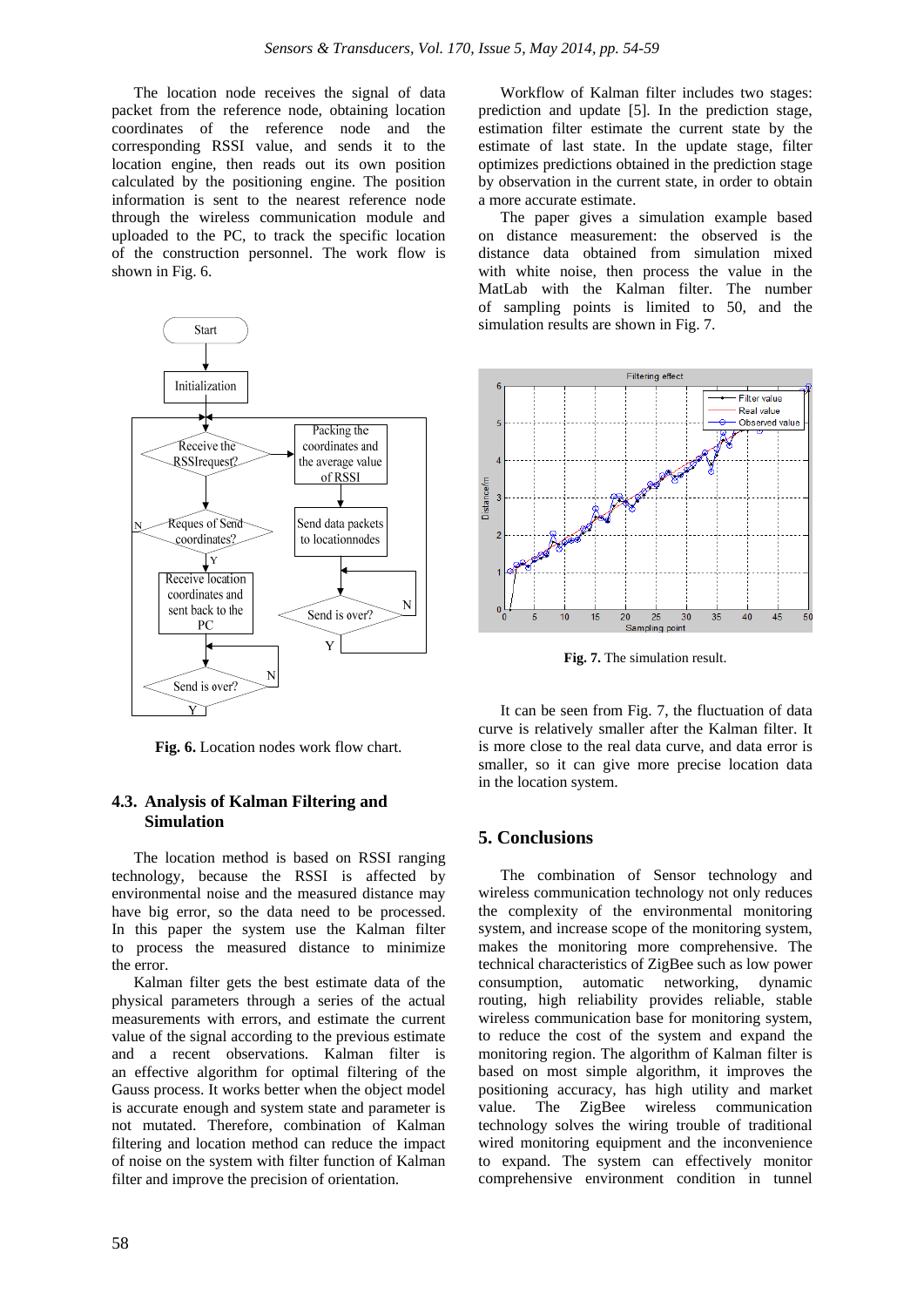The location node receives the signal of data packet from the reference node, obtaining location coordinates of the reference node and the corresponding RSSI value, and sends it to the location engine, then reads out its own position calculated by the positioning engine. The position information is sent to the nearest reference node through the wireless communication module and uploaded to the PC, to track the specific location of the construction personnel. The work flow is shown in Fig. 6.



**Fig. 6.** Location nodes work flow chart.

#### **4.3. Analysis of Kalman Filtering and Simulation**

The location method is based on RSSI ranging technology, because the RSSI is affected by environmental noise and the measured distance may have big error, so the data need to be processed. In this paper the system use the Kalman filter to process the measured distance to minimize the error.

Kalman filter gets the best estimate data of the physical parameters through a series of the actual measurements with errors, and estimate the current value of the signal according to the previous estimate and a recent observations. Kalman filter is an effective algorithm for optimal filtering of the Gauss process. It works better when the object model is accurate enough and system state and parameter is not mutated. Therefore, combination of Kalman filtering and location method can reduce the impact of noise on the system with filter function of Kalman filter and improve the precision of orientation.

Workflow of Kalman filter includes two stages: prediction and update [5]. In the prediction stage, estimation filter estimate the current state by the estimate of last state. In the update stage, filter optimizes predictions obtained in the prediction stage by observation in the current state, in order to obtain a more accurate estimate.

The paper gives a simulation example based on distance measurement: the observed is the distance data obtained from simulation mixed with white noise, then process the value in the MatLab with the Kalman filter. The number of sampling points is limited to 50, and the simulation results are shown in Fig. 7.



**Fig. 7.** The simulation result.

It can be seen from Fig. 7, the fluctuation of data curve is relatively smaller after the Kalman filter. It is more close to the real data curve, and data error is smaller, so it can give more precise location data in the location system.

#### **5. Conclusions**

The combination of Sensor technology and wireless communication technology not only reduces the complexity of the environmental monitoring system, and increase scope of the monitoring system, makes the monitoring more comprehensive. The technical characteristics of ZigBee such as low power consumption, automatic networking, dynamic routing, high reliability provides reliable, stable wireless communication base for monitoring system, to reduce the cost of the system and expand the monitoring region. The algorithm of Kalman filter is based on most simple algorithm, it improves the positioning accuracy, has high utility and market value. The ZigBee wireless communication technology solves the wiring trouble of traditional wired monitoring equipment and the inconvenience to expand. The system can effectively monitor comprehensive environment condition in tunnel